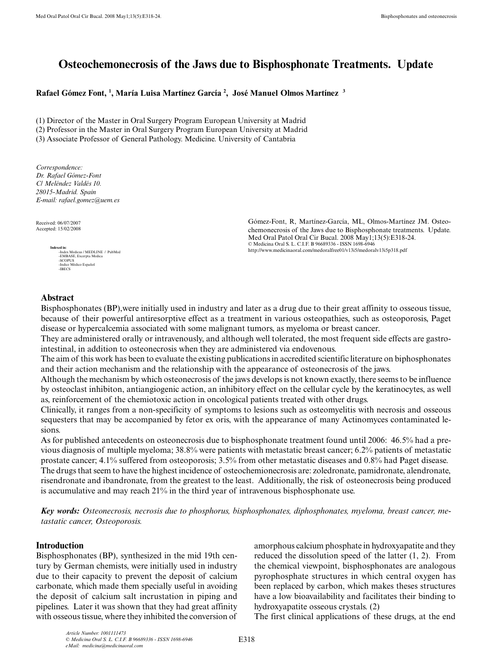# **Osteochemonecrosis of the Jaws due to Bisphosphonate Treatments. Update**

**Rafael Gómez Font, 1 , María Luisa Martínez García 2 , José Manuel Olmos Martínez 3**

(1) Director of the Master in Oral Surgery Program European University at Madrid

(2) Professor in the Master in Oral Surgery Program European University at Madrid

(3) Associate Professor of General Pathology. Medicine. University of Cantabria

*Correspondence: Dr. Rafael Gómez-Font C/ Meléndez Valdés 10. 28015-Madrid. Spain E-mail: rafael.gomez@uem.es* 

Received: 06/07/2007 Accepted: 15/02/2008



Gómez-Font, R, Martínez-García, ML, Olmos-Martínez JM. Osteochemonecrosis of the Jaws due to Bisphosphonate treatments. Update. Med Oral Patol Oral Cir Bucal. 2008 May1;13(5):E318-24. © Medicina Oral S. L. C.I.F. B 96689336 - ISSN 1698-6946 http://www.medicinaoral.com/medoralfree01/v13i5/medoralv13i5p318.pdf

## **Abstract**

Bisphosphonates (BP),were initially used in industry and later as a drug due to their great affinity to osseous tissue, because of their powerful antiresorptive effect as a treatment in various osteopathies, such as osteoporosis, Paget disease or hypercalcemia associated with some malignant tumors, as myeloma or breast cancer.

They are administered orally or intravenously, and although well tolerated, the most frequent side effects are gastrointestinal, in addition to osteonecrosis when they are administered via endovenous.

The aim of this work has been to evaluate the existing publications in accredited scientific literature on biphosphonates and their action mechanism and the relationship with the appearance of osteonecrosis of the jaws.

Although the mechanism by which osteonecrosis of the jaws develops is not known exactly, there seems to be influence by osteoclast inhibiton, antiangiogenic action, an inhibitory effect on the cellular cycle by the keratinocytes, as well as, reinforcement of the chemiotoxic action in oncological patients treated with other drugs.

Clinically, it ranges from a non-specificity of symptoms to lesions such as osteomyelitis with necrosis and osseous sequesters that may be accompanied by fetor ex oris, with the appearance of many Actinomyces contaminated lesions.

As for published antecedents on osteonecrosis due to bisphosphonate treatment found until 2006: 46.5% had a previous diagnosis of multiple myeloma; 38.8% were patients with metastatic breast cancer; 6.2% patients of metastatic prostate cancer; 4.1% suffered from osteoporosis; 3.5% from other metastatic diseases and 0.8% had Paget disease. The drugs that seem to have the highest incidence of osteochemionecrosis are: zoledronate, pamidronate, alendronate, risendronate and ibandronate, from the greatest to the least. Additionally, the risk of osteonecrosis being produced is accumulative and may reach 21% in the third year of intravenous bisphosphonate use.

*Key words: Osteonecrosis, necrosis due to phosphorus, bisphosphonates, diphosphonates, myeloma, breast cancer, metastatic cancer, Osteoporosis.*

## **Introduction**

Bisphosphonates (BP), synthesized in the mid 19th century by German chemists, were initially used in industry due to their capacity to prevent the deposit of calcium carbonate, which made them specially useful in avoiding the deposit of calcium salt incrustation in piping and pipelines. Later it was shown that they had great affinity with osseous tissue, where they inhibited the conversion of amorphous calcium phosphate in hydroxyapatite and they reduced the dissolution speed of the latter (1, 2). From the chemical viewpoint, bisphosphonates are analogous pyrophosphate structures in which central oxygen has been replaced by carbon, which makes theses structures have a low bioavailability and facilitates their binding to hydroxyapatite osseous crystals. (2)

The first clinical applications of these drugs, at the end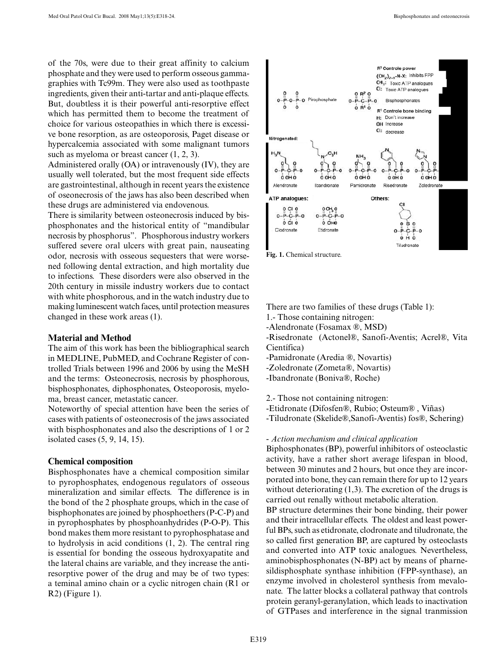of the 70s, were due to their great affinity to calcium phosphate and they were used to perform osseous gammagraphies with Tc99m. They were also used as toothpaste ingredients, given their anti-tartar and anti-plaque effects. But, doubtless it is their powerful anti-resorptive effect which has permitted them to become the treatment of choice for various osteopathies in which there is excessive bone resorption, as are osteoporosis, Paget disease or hypercalcemia associated with some malignant tumors such as myeloma or breast cancer (1, 2, 3).

Administered orally (OA) or intravenously (IV), they are usually well tolerated, but the most frequent side effects are gastrointestinal, although in recent years the existence of oseonecrosis of the jaws has also been described when these drugs are administered via endovenous.

There is similarity between osteonecrosis induced by bisphosphonates and the historical entity of "mandibular necrosis by phosphorus". Phosphorous industry workers suffered severe oral ulcers with great pain, nauseating odor, necrosis with osseous sequesters that were worsened following dental extraction, and high mortality due to infections. These disorders were also observed in the 20th century in missile industry workers due to contact with white phosphorous, and in the watch industry due to making luminescent watch faces, until protection measures changed in these work areas (1).

#### **Material and Method**

The aim of this work has been the bibliographical search in MEDLINE, PubMED, and Cochrane Register of controlled Trials between 1996 and 2006 by using the MeSH and the terms: Osteonecrosis, necrosis by phosphorous, bisphosphonates, diphosphonates, Osteoporosis, myeloma, breast cancer, metastatic cancer.

Noteworthy of special attention have been the series of cases with patients of osteonecrosis of the jaws associated with bisphosphonates and also the descriptions of 1 or 2 isolated cases (5, 9, 14, 15).

#### **Chemical composition**

Bisphosphonates have a chemical composition similar to pyrophosphates, endogenous regulators of osseous mineralization and similar effects. The difference is in the bond of the 2 phosphate groups, which in the case of bisphophonates are joined by phosphoethers (P-C-P) and in pyrophosphates by phosphoanhydrides (P-O-P). This bond makes them more resistant to pyrophosphatase and to hydrolysis in acid conditions (1, 2). The central ring is essential for bonding the osseous hydroxyapatite and the lateral chains are variable, and they increase the antiresorptive power of the drug and may be of two types: a teminal amino chain or a cyclic nitrogen chain (R1 or R2) (Figure 1).



**Fig. 1.** Chemical structure.

There are two families of these drugs (Table 1):

- 1.- Those containing nitrogen:
- -Alendronate (Fosamax ®, MSD)

-Risedronate (Actonel®, Sanofi-Aventis; Acrel®, Vita Científica)

- -Pamidronate (Aredia ®, Novartis)
- -Zoledronate (Zometa®, Novartis)
- -Ibandronate (Boniva®, Roche)

2.- Those not containing nitrogen:

-Etidronate (Difosfen®, Rubio; Osteum® , Viñas)

-Tiludronate (Skelide®,Sanofi-Aventis) fos®, Schering)

*- Action mechanism and clinical application*

Biphosphonates (BP), powerful inhibitors of osteoclastic activity, have a rather short average lifespan in blood, between 30 minutes and 2 hours, but once they are incorporated into bone, they can remain there for up to 12 years without deteriorating  $(1,3)$ . The excretion of the drugs is carried out renally without metabolic alteration.

BP structure determines their bone binding, their power and their intracellular effects. The oldest and least powerful BPs, such as etidronate, clodronate and tiludronate, the so called first generation BP, are captured by osteoclasts and converted into ATP toxic analogues. Nevertheless, aminobisphosphonates (N-BP) act by means of pharnesildisphosphate synthase inhibition (FPP-synthase), an enzyme involved in cholesterol synthesis from mevalonate. The latter blocks a collateral pathway that controls protein geranyl-geranylation, which leads to inactivation of GTPases and interference in the signal tranmission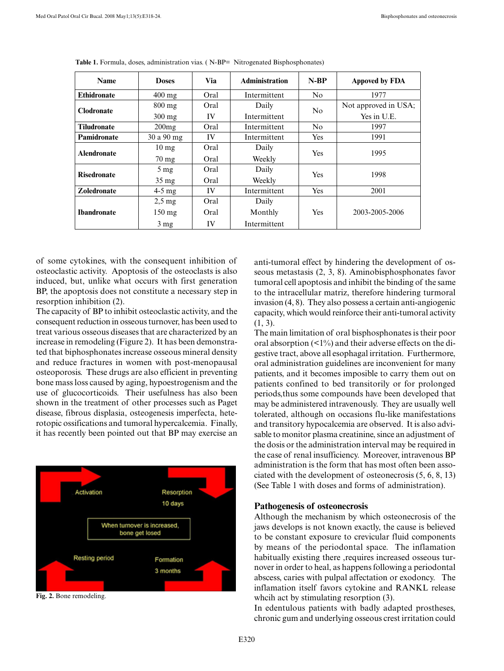| <b>Name</b>        | <b>Doses</b>       | Via  | <b>Administration</b> | $N-RP$         | Appoved by FDA       |
|--------------------|--------------------|------|-----------------------|----------------|----------------------|
| <b>Ethidronate</b> | $400 \text{ mg}$   | Oral | Intermittent          | No             | 1977                 |
| <b>Clodronate</b>  | $800$ mg           | Oral | Daily                 | N <sub>0</sub> | Not approved in USA; |
|                    | 300 mg             | IV   | Intermittent          |                | Yes in U.E.          |
| <b>Tiludronate</b> | 200mg              | Oral | Intermittent          | N <sub>0</sub> | 1997                 |
| Pamidronate        | 30 a 90 mg         | IV   | Intermittent          | Yes            | 1991                 |
| <b>Alendronate</b> | $10 \text{ mg}$    | Oral | Daily                 | Yes            | 1995                 |
|                    | $70 \text{ mg}$    | Oral | Weekly                |                |                      |
| <b>Risedronate</b> | $5 \,\mathrm{mg}$  | Oral | Daily                 | <b>Yes</b>     | 1998                 |
|                    | $35 \,\mathrm{mg}$ | Oral | Weekly                |                |                      |
| <b>Zoledronate</b> | $4-5$ mg           | IV   | Intermittent          | Yes            | 2001                 |
| <b>Ibandronate</b> | $2.5 \text{ mg}$   | Oral | Daily                 |                |                      |
|                    | $150 \text{ mg}$   | Oral | Monthly               | Yes            | 2003-2005-2006       |
|                    | $3 \text{ mg}$     | IV   | Intermittent          |                |                      |

**Table 1.** Formula, doses, administration vias. ( N-BP= Nitrogenated Bisphosphonates)

of some cytokines, with the consequent inhibition of osteoclastic activity. Apoptosis of the osteoclasts is also induced, but, unlike what occurs with first generation BP, the apoptosis does not constitute a necessary step in resorption inhibition (2).

The capacity of BP to inhibit osteoclastic activity, and the consequent reduction in osseous turnover, has been used to treat various osseous diseases that are characterized by an increase in remodeling (Figure 2). It has been demonstrated that biphosphonates increase osseous mineral density and reduce fractures in women with post-menopausal osteoporosis. These drugs are also efficient in preventing bone mass loss caused by aging, hypoestrogenism and the use of glucocorticoids. Their usefulness has also been shown in the treatment of other processes such as Paget disease, fibrous displasia, osteogenesis imperfecta, heterotopic ossifications and tumoral hypercalcemia. Finally, it has recently been pointed out that BP may exercise an



**Fig. 2.** Bone remodeling.

anti-tumoral effect by hindering the development of osseous metastasis (2, 3, 8). Aminobisphosphonates favor tumoral cell apoptosis and inhibit the binding of the same to the intracellular matriz, therefore hindering turmoral invasion (4, 8). They also possess a certain anti-angiogenic capacity, which would reinforce their anti-tumoral activity (1, 3).

The main limitation of oral bisphosphonates is their poor oral absorption  $\left($  <1%) and their adverse effects on the digestive tract, above all esophagal irritation. Furthermore, oral administration guidelines are inconvenient for many patients, and it becomes imposible to carry them out on patients confined to bed transitorily or for prolonged periods,thus some compounds have been developed that may be administered intravenously. They are usually well tolerated, although on occasions flu-like manifestations and transitory hypocalcemia are observed. It is also advisable to monitor plasma creatinine, since an adjustment of the dosis or the administration interval may be required in the case of renal insufficiency. Moreover, intravenous BP administration is the form that has most often been associated with the development of osteonecrosis (5, 6, 8, 13) (See Table 1 with doses and forms of administration).

#### **Pathogenesis of osteonecrosis**

Although the mechanism by which osteonecrosis of the jaws develops is not known exactly, the cause is believed to be constant exposure to crevicular fluid components by means of the periodontal space. The inflamation habitually existing there ,requires increased osseous turnover in order to heal, as happens following a periodontal abscess, caries with pulpal affectation or exodoncy. The inflamation itself favors cytokine and RANKL release whcih act by stimulating resorption (3).

In edentulous patients with badly adapted prostheses, chronic gum and underlying osseous crest irritation could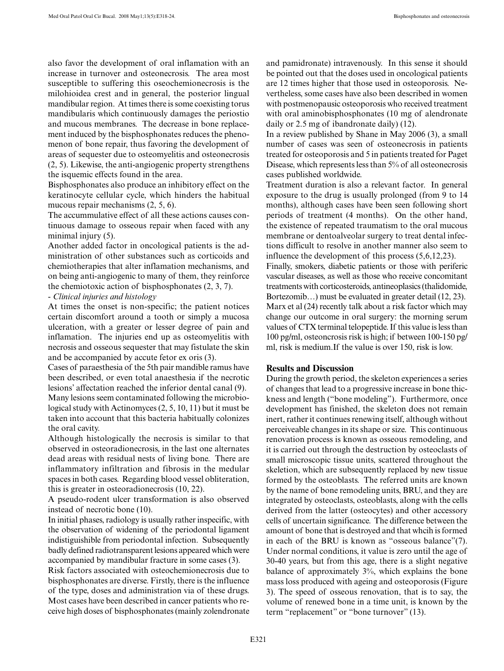also favor the development of oral inflamation with an increase in turnover and osteonecrosis. The area most susceptible to suffering this oseochemionecrosis is the milohioidea crest and in general, the posterior lingual mandibular region. At times there is some coexisting torus mandibularis which continuously damages the periostio and mucous membranes. The decrease in bone replacement induced by the bisphosphonates reduces the phenomenon of bone repair, thus favoring the development of areas of sequester due to osteomyelitis and osteonecrosis (2, 5). Likewise, the anti-angiogenic property strengthens the isquemic effects found in the area.

Bisphosphonates also produce an inhibitory effect on the keratinocyte cellular cycle, which hinders the habitual mucous repair mechanisms (2, 5, 6).

The accummulative effect of all these actions causes continuous damage to osseous repair when faced with any minimal injury (5).

Another added factor in oncological patients is the administration of other substances such as corticoids and chemiotherapies that alter inflamation mechanisms, and on being anti-angiogenic to many of them, they reinforce the chemiotoxic action of bisphosphonates (2, 3, 7).

*- Clinical injuries and histology*

At times the onset is non-specific; the patient notices certain discomfort around a tooth or simply a mucosa ulceration, with a greater or lesser degree of pain and inflamation. The injuries end up as osteomyelitis with necrosis and osseous sequester that may fistulate the skin and be accompanied by accute fetor ex oris (3).

Cases of paraesthesia of the 5th pair mandible ramus have been described, or even total anaesthesia if the necrotic lesions' affectation reached the inferior dental canal (9).

Many lesions seem contaminated following the microbiological study with Actinomyces (2, 5, 10, 11) but it must be taken into account that this bacteria habitually colonizes the oral cavity.

Although histologically the necrosis is similar to that observed in osteoradionecrosis, in the last one alternates dead areas with residual nests of living bone. There are inflammatory infiltration and fibrosis in the medular spaces in both cases. Regarding blood vessel obliteration, this is greater in osteoradionecrosis (10, 22).

A pseudo-rodent ulcer transformation is also observed instead of necrotic bone (10).

In initial phases, radiology is usually rather inspecific, with the observation of widening of the periodontal ligament indistiguishible from periodontal infection. Subsequently badly defined radiotransparent lesions appeared which were accompanied by mandibular fracture in some cases (3).

Risk factors associated with osteochemionecrosis due to bisphosphonates are diverse. Firstly, there is the influence of the type, doses and administration via of these drugs. Most cases have been described in cancer patients who receive high doses of bisphosphonates (mainly zolendronate and pamidronate) intravenously. In this sense it should be pointed out that the doses used in oncological patients are 12 times higher that those used in osteoporosis. Nevertheless, some cases have also been described in women with postmenopausic osteoporosis who received treatment with oral aminobisphosphonates (10 mg of alendronate daily or 2.5 mg of ibandronate daily) (12).

In a review published by Shane in May 2006 (3), a small number of cases was seen of osteonecrosis in patients treated for osteoporosis and 5 in patients treated for Paget Disease, which represents less than 5% of all osteonecrosis cases published worldwide.

Treatment duration is also a relevant factor. In general exposure to the drug is usually prolonged (from 9 to 14 months), although cases have been seen following short periods of treatment (4 months). On the other hand, the existence of repeated traumatism to the oral mucous membrane or dentoalveolar surgery to treat dental infections difficult to resolve in another manner also seem to influence the development of this process (5,6,12,23).

Finally, smokers, diabetic patients or those with periferic vascular diseases, as well as those who receive concomitant treatments with corticosteroids, antineoplasics (thalidomide, Bortezomib…) must be evaluated in greater detail (12, 23). Marx et al (24) recently talk about a risk factor which may change our outcome in oral surgery: the morning serum values of CTX terminal telopeptide. If this value is less than 100 pg/ml, osteoncrosis risk is high; if between 100-150 pg/ ml, risk is medium.If the value is over 150, risk is low.

## **Results and Discussion**

During the growth period, the skeleton experiences a series of changes that lead to a progressive increase in bone thickness and length ("bone modeling"). Furthermore, once development has finished, the skeleton does not remain inert, rather it continues renewing itself, although without perceiveable changes in its shape or size. This continuous renovation process is known as osseous remodeling, and it is carried out through the destruction by osteoclasts of small microscopic tissue units, scattered throughout the skeletion, which are subsequently replaced by new tissue formed by the osteoblasts. The referred units are known by the name of bone remodeling units, BRU, and they are integrated by osteoclasts, osteoblasts, along with the cells derived from the latter (osteocytes) and other accessory cells of uncertain significance. The difference between the amount of bone that is destroyed and that whcih is formed in each of the BRU is known as "osseous balance"(7). Under normal conditions, it value is zero until the age of 30-40 years, but from this age, there is a slight negative balance of approximately 3%, which explains the bone mass loss produced with ageing and osteoporosis (Figure 3). The speed of osseous renovation, that is to say, the volume of renewed bone in a time unit, is known by the term "replacement" or "bone turnover" (13).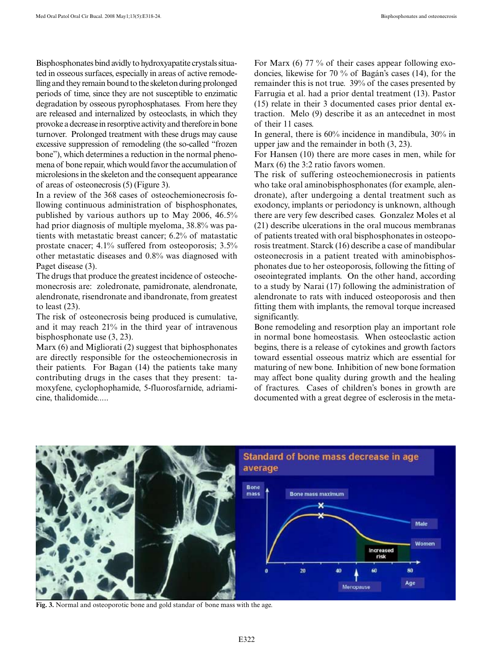Bisphosphonates bind avidly to hydroxyapatite crystals situated in osseous surfaces, especially in areas of active remodelling and they remain bound to the skeleton during prolonged periods of time, since they are not susceptible to enzimatic degradation by osseous pyrophosphatases. From here they are released and internalized by osteoclasts, in which they provoke a decrease in resorptive activity and therefore in bone turnover. Prolonged treatment with these drugs may cause excessive suppression of remodeling (the so-called "frozen bone"), which determines a reduction in the normal phenomena of bone repair, which would favor the accumulation of microlesions in the skeleton and the consequent appearance of areas of osteonecrosis (5) (Figure 3).

In a review of the 368 cases of osteochemionecrosis following continuous administration of bisphosphonates, published by various authors up to May 2006, 46.5% had prior diagnosis of multiple myeloma, 38.8% was patients with metastatic breast cancer; 6.2% of matastatic prostate cnacer; 4.1% suffered from osteoporosis; 3.5% other metastatic diseases and 0.8% was diagnosed with Paget disease (3).

The drugs that produce the greatest incidence of osteochemonecrosis are: zoledronate, pamidronate, alendronate, alendronate, risendronate and ibandronate, from greatest to least (23).

The risk of osteonecrosis being produced is cumulative, and it may reach 21% in the third year of intravenous bisphosphonate use (3, 23).

Marx (6) and Migliorati (2) suggest that biphosphonates are directly responsible for the osteochemionecrosis in their patients. For Bagan (14) the patients take many contributing drugs in the cases that they present: tamoxyfene, cyclophophamide, 5-fluorosfarnide, adriamicine, thalidomide.....

For Marx (6) 77 % of their cases appear following exodoncies, likewise for 70 % of Bagán's cases (14), for the remainder this is not true. 39% of the cases presented by Farrugia et al. had a prior dental treatment (13). Pastor (15) relate in their 3 documented cases prior dental extraction. Melo (9) describe it as an antecednet in most of their 11 cases.

In general, there is 60% incidence in mandibula, 30% in upper jaw and the remainder in both (3, 23).

For Hansen (10) there are more cases in men, while for Marx (6) the 3:2 ratio favors women.

The risk of suffering osteochemionecrosis in patients who take oral aminobisphosphonates (for example, alendronate), after undergoing a dental treatment such as exodoncy, implants or periodoncy is unknown, although there are very few described cases. Gonzalez Moles et al (21) describe ulcerations in the oral mucous membranas of patients treated with oral bisphosphonates in osteoporosis treatment. Starck (16) describe a case of mandibular osteonecrosis in a patient treated with aminobisphosphonates due to her osteoporosis, following the fitting of oseointegrated implants. On the other hand, according to a study by Narai (17) following the administration of alendronate to rats with induced osteoporosis and then fitting them with implants, the removal torque increased significantly.

Bone remodeling and resorption play an important role in normal bone homeostasis. When osteoclastic action begins, there is a release of cytokines and growth factors toward essential osseous matriz which are essential for maturing of new bone. Inhibition of new bone formation may affect bone quality during growth and the healing of fractures. Cases of children's bones in growth are documented with a great degree of esclerosis in the meta-



**Fig. 3.** Normal and osteoporotic bone and gold standar of bone mass with the age.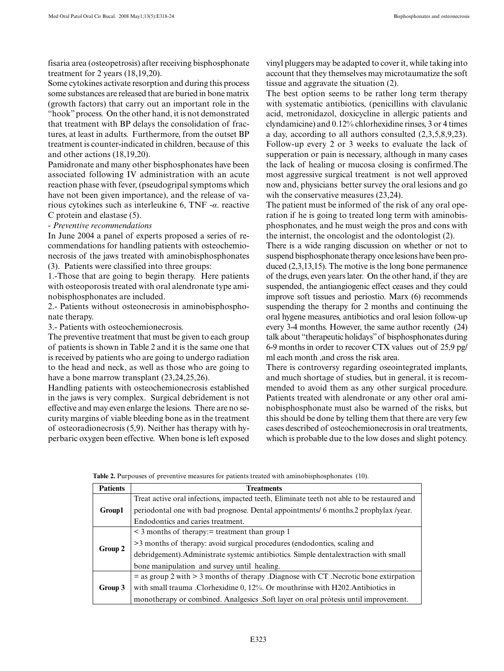fisaria area (osteopetrosis) after receiving bisphosphonate treatment for 2 years (18,19,20).

Some cytokines activate resorption and during this process some substances are released that are buried in bone matrix (growth factors) that carry out an important role in the "hook" process. On the other hand, it is not demonstrated that treatment with BP delays the consolidation of fractures, at least in adults. Furthermore, from the outset BP treatment is counter-indicated in children, because of this and other actions (18,19,20).

Pamidronate and many other bisphosphonates have been associated following IV administration with an acute reaction phase with fever, (pseudogripal symptoms which have not been given importance), and the release of various cytokines such as interleukine 6, TNF -*α*. reactive C protein and elastase (5).

#### - *Preventive recommendations*

In June 2004 a panel of experts proposed a series of recommendations for handling patients with osteochemionecrosis of the jaws treated with aminobisphosphonates (3). Patients were classified into three groups:

1.-Those that are going to begin therapy. Here patients with osteoporosis treated with oral alendronate type aminobisphosphonates are included.

2.- Patients without osteonecrosis in aminobisphosphonate therapy.

3.- Patients with osteochemionecrosis.

The preventive treatment that must be given to each group of patients is shown in Table 2 and it is the same one that is received by patients who are going to undergo radiation to the head and neck, as well as those who are going to have a bone marrow transplant (23,24,25,26).

Handling patients with osteochemionecrosis established in the jaws is very complex. Surgical debridement is not effective and may even enlarge the lesions. There are no security margins of viable bleeding bone as in the treatment of osteoradionecrosis (5,9). Neither has therapy with hyperbaric oxygen been effective. When bone is left exposed vinyl pluggers may be adapted to cover it, while taking into account that they themselves may microtaumatize the soft tissue and aggravate the situation (2).

The best option seems to be rather long term therapy with systematic antibiotics, (penicillins with clavulanic acid, metronidazol, doxicycline in allergic patients and clyndamicine) and 0.12% chlorhexidine rinses, 3 or 4 times a day, according to all authors consulted (2,3,5,8,9,23). Follow-up every 2 or 3 weeks to evaluate the lack of supperation or pain is necessary, although in many cases the lack of healing or mucosa closing is confirmed.The most aggressive surgical treatment is not well approved now and, physicians better survey the oral lesions and go wih the conservative measures (23,24).

The patient must be informed of the risk of any oral operation if he is going to treated long term with aminobisphosphonates, and he must weigh the pros and cons with the internist, the oncologist and the odontologist (2).

There is a wide ranging discussion on whether or not to suspend bisphosphonate therapy once lesions have been produced (2,3,13,15). The motive is the long bone permanence of the drugs, even years later. On the other hand, if they are suspended, the antiangiogenic effect ceases and they could improve soft tissues and periostio. Marx (6) recommends suspending the therapy for 2 months and continuing the oral hygene measures, antibiotics and oral lesion follow-up every 3-4 months. However, the same author recently (24) talk about "therapeutic holidays" of bisphosphonates during 6-9 months in order to recover CTX values out of 25,9 pg/ ml each month ,and cross the risk area.

There is controversy regarding oseointegrated implants, and much shortage of studies, but in general, it is recommended to avoid them as any other surgical procedure. Patients treated with alendronate or any other oral aminobisphosphonate must also be warned of the risks, but this should be done by telling them that there are very few cases described of osteochemionecrosis in oral treatments, which is probable due to the low doses and slight potency.

**Table 2.** Purpouses of preventive measures for patients treated with aminobisphosphonates (10).

| <b>Patients</b> | <b>Treatments</b>                                                                          |  |  |  |  |
|-----------------|--------------------------------------------------------------------------------------------|--|--|--|--|
| Group1          | Treat active oral infections, impacted teeth, Eliminate teeth not able to be restaured and |  |  |  |  |
|                 | periodontal one with bad prognose. Dental appointments/ 6 months.2 prophylax /year.        |  |  |  |  |
|                 | Endodontics and caries treatment.                                                          |  |  |  |  |
| Group 2         | $\leq$ 3 months of therapy: = treatment than group 1                                       |  |  |  |  |
|                 | >3 months of therapy: avoid surgical procedures (endodontics, scaling and                  |  |  |  |  |
|                 | debridgement). Administrate systemic antibiotics. Simple dental extraction with small      |  |  |  |  |
|                 | bone manipulation and survey until healing.                                                |  |  |  |  |
| Group 3         | $=$ as group 2 with $>$ 3 months of therapy .Diagnose with CT. Necrotic bone extirpation   |  |  |  |  |
|                 | with small trauma . Clorhexidine $0, 12\%$ . Or mouthrinse with H202. Antibiotics in       |  |  |  |  |
|                 | monotherapy or combined. Analgesics . Soft layer on oral prótesis until improvement.       |  |  |  |  |